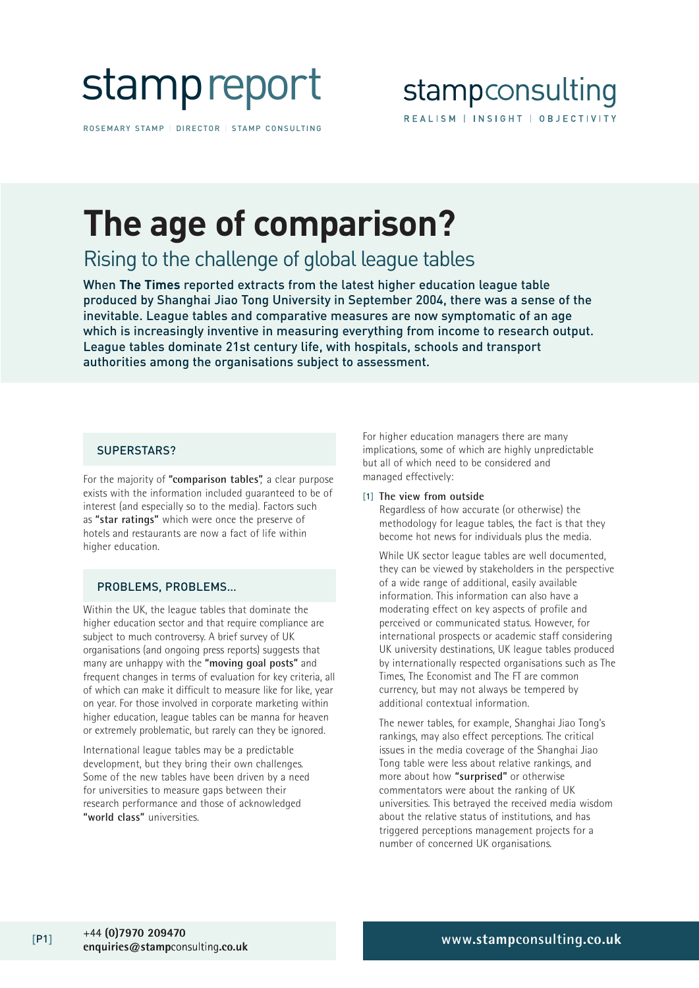

ROSEMARY STAMP | DIRECTOR | STAMP CONSULTING

# **The age of comparison?**

Rising to the challenge of global league tables

When **The Times** reported extracts from the latest higher education league table produced by Shanghai Jiao Tong University in September 2004, there was a sense of the inevitable. League tables and comparative measures are now symptomatic of an age which is increasingly inventive in measuring everything from income to research output. League tables dominate 21st century life, with hospitals, schools and transport authorities among the organisations subject to assessment.

### SUPERSTARS?

For the majority of **"comparison tables"**, a clear purpose exists with the information included guaranteed to be of interest (and especially so to the media). Factors such as **"star ratings"** which were once the preserve of hotels and restaurants are now a fact of life within higher education.

### PROBLEMS, PROBLEMS…

Within the UK, the league tables that dominate the higher education sector and that require compliance are subject to much controversy. A brief survey of UK organisations (and ongoing press reports) suggests that many are unhappy with the **"moving goal posts"** and frequent changes in terms of evaluation for key criteria, all of which can make it difficult to measure like for like, year on year. For those involved in corporate marketing within higher education, league tables can be manna for heaven or extremely problematic, but rarely can they be ignored.

International league tables may be a predictable development, but they bring their own challenges. Some of the new tables have been driven by a need for universities to measure gaps between their research performance and those of acknowledged **"world class"** universities.

For higher education managers there are many implications, some of which are highly unpredictable but all of which need to be considered and managed effectively:

#### [1] **The view from outside**

Regardless of how accurate (or otherwise) the methodology for league tables, the fact is that they become hot news for individuals plus the media.

While UK sector league tables are well documented, they can be viewed by stakeholders in the perspective of a wide range of additional, easily available information. This information can also have a moderating effect on key aspects of profile and perceived or communicated status. However, for international prospects or academic staff considering UK university destinations, UK league tables produced by internationally respected organisations such as The Times, The Economist and The FT are common currency, but may not always be tempered by additional contextual information.

The newer tables, for example, Shanghai Jiao Tong's rankings, may also effect perceptions. The critical issues in the media coverage of the Shanghai Jiao Tong table were less about relative rankings, and more about how **"surprised"** or otherwise commentators were about the ranking of UK universities. This betrayed the received media wisdom about the relative status of institutions, and has triggered perceptions management projects for a number of concerned UK organisations.